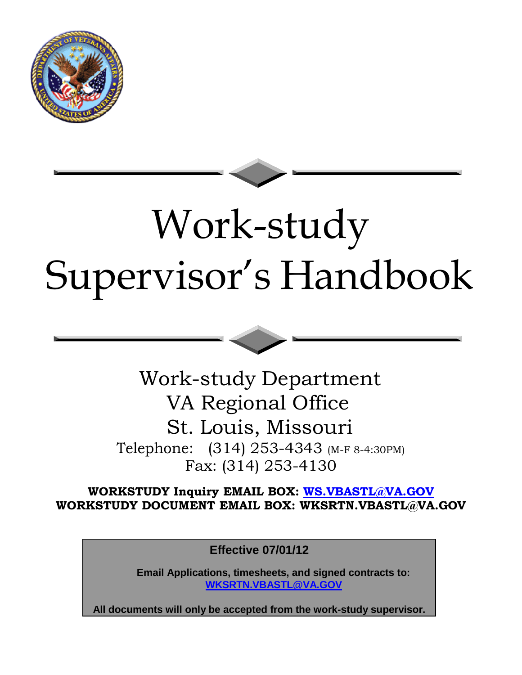



Work-study Department VA Regional Office St. Louis, Missouri Telephone: (314) 253-4343 (M-F 8-4:30PM) Fax: (314) 253-4130

**WORKSTUDY Inquiry EMAIL BOX: [WS.VBASTL@VA.GOV](mailto:WS.VBASTL@VA.GOV) WORKSTUDY DOCUMENT EMAIL BOX: [WKSRTN.VBASTL@VA.GOV](mailto:WKSRTN.VBASTL@VA.GOV)**

**Effective 07/01/12**

**Email Applications, timesheets, and signed contracts to: [WKSRTN.VBASTL@VA.GOV](mailto:WKSRTN.VBASTL@VA.GOV)**

**All documents will only be accepted from the work-study supervisor.**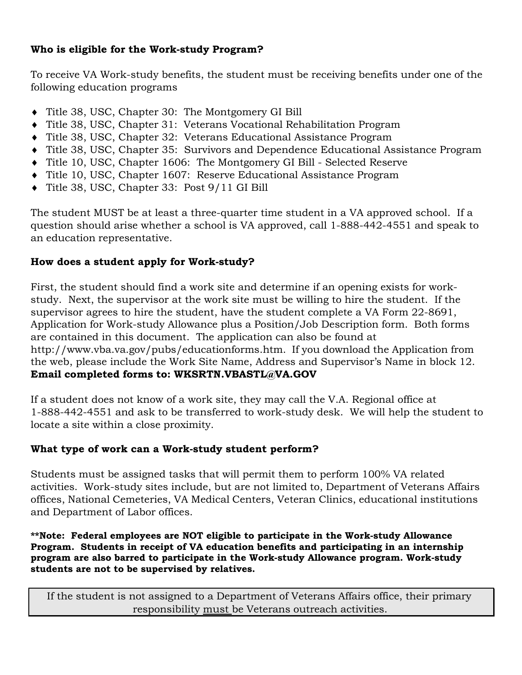## **Who is eligible for the Work-study Program?**

To receive VA Work-study benefits, the student must be receiving benefits under one of the following education programs

- Title 38, USC, Chapter 30: The Montgomery GI Bill
- Title 38, USC, Chapter 31: Veterans Vocational Rehabilitation Program
- Title 38, USC, Chapter 32: Veterans Educational Assistance Program
- Title 38, USC, Chapter 35: Survivors and Dependence Educational Assistance Program
- Title 10, USC, Chapter 1606: The Montgomery GI Bill Selected Reserve
- Title 10, USC, Chapter 1607: Reserve Educational Assistance Program
- Title 38, USC, Chapter 33: Post 9/11 GI Bill

The student MUST be at least a three-quarter time student in a VA approved school. If a question should arise whether a school is VA approved, call 1-888-442-4551 and speak to an education representative.

# **How does a student apply for Work-study?**

First, the student should find a work site and determine if an opening exists for workstudy. Next, the supervisor at the work site must be willing to hire the student. If the supervisor agrees to hire the student, have the student complete a VA Form 22-8691, Application for Work-study Allowance plus a Position/Job Description form. Both forms are contained in this document. The application can also be found a[t](http://www.vba.va.gov/pubs/educationforms.htm) [http://www.vba.va.gov/pubs/educationforms.htm.](http://www.vba.va.gov/pubs/educationforms.htm) If you download the Application from the web, please include the Work Site Name, Address and Supervisor's Name in block 12. **Email completed forms to: [WKSRTN.VBASTL@VA.GOV](mailto:WKSRTN.VBASTL@VA.GOV)**

If a student does not know of a work site, they may call the V.A. Regional office at 1-888-442-4551 and ask to be transferred to work-study desk. We will help the student to locate a site within a close proximity.

# **What type of work can a Work-study student perform?**

Students must be assigned tasks that will permit them to perform 100% VA related activities. Work-study sites include, but are not limited to, Department of Veterans Affairs offices, National Cemeteries, VA Medical Centers, Veteran Clinics, educational institutions and Department of Labor offices.

**\*\*Note: Federal employees are NOT eligible to participate in the Work-study Allowance Program. Students in receipt of VA education benefits and participating in an internship program are also barred to participate in the Work-study Allowance program. Work-study students are not to be supervised by relatives.**

If the student is not assigned to a Department of Veterans Affairs office, their primary responsibility must be Veterans outreach activities.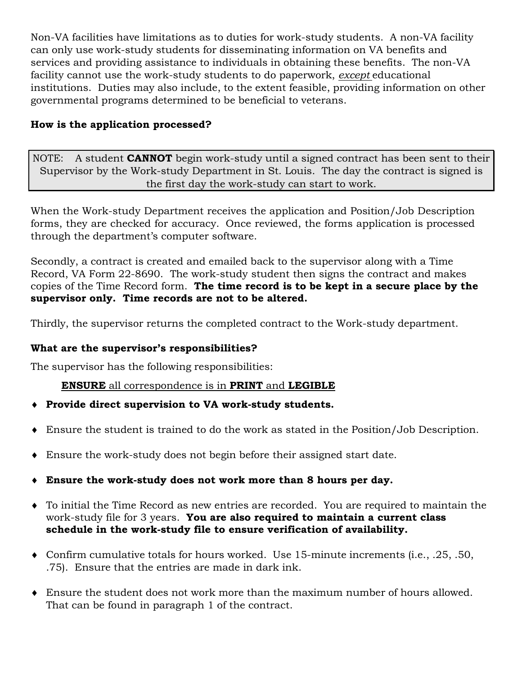Non-VA facilities have limitations as to duties for work-study students. A non-VA facility can only use work-study students for disseminating information on VA benefits and services and providing assistance to individuals in obtaining these benefits. The non-VA facility cannot use the work-study students to do paperwork, *except* educational institutions. Duties may also include, to the extent feasible, providing information on other governmental programs determined to be beneficial to veterans.

# **How is the application processed?**

NOTE: A student **CANNOT** begin work-study until a signed contract has been sent to their Supervisor by the Work-study Department in St. Louis. The day the contract is signed is the first day the work-study can start to work.

When the Work-study Department receives the application and Position/Job Description forms, they are checked for accuracy. Once reviewed, the forms application is processed through the department's computer software.

Secondly, a contract is created and emailed back to the supervisor along with a Time Record, VA Form 22-8690. The work-study student then signs the contract and makes copies of the Time Record form. **The time record is to be kept in a secure place by the supervisor only. Time records are not to be altered.**

Thirdly, the supervisor returns the completed contract to the Work-study department.

# **What are the supervisor's responsibilities?**

The supervisor has the following responsibilities:

## **ENSURE** all correspondence is in **PRINT** and **LEGIBLE**

- **Provide direct supervision to VA work-study students.**
- Ensure the student is trained to do the work as stated in the Position/Job Description.
- Ensure the work-study does not begin before their assigned start date.
- **Ensure the work-study does not work more than 8 hours per day.**
- To initial the Time Record as new entries are recorded. You are required to maintain the work-study file for 3 years. **You are also required to maintain a current class schedule in the work-study file to ensure verification of availability.**
- Confirm cumulative totals for hours worked. Use 15-minute increments (i.e., .25, .50, .75). Ensure that the entries are made in dark ink.
- Ensure the student does not work more than the maximum number of hours allowed. That can be found in paragraph 1 of the contract.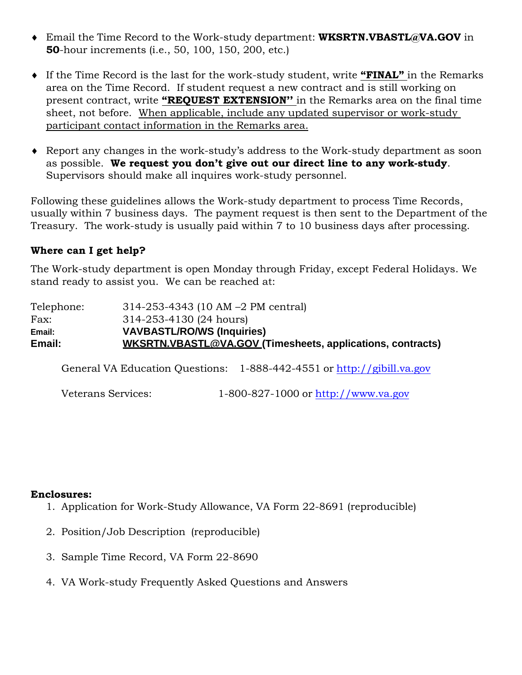- Email the Time Record to the Work-study department: **[WKSRTN.VBASTL@VA.GOV](mailto:WKSRTN.VBASTL@VA.GOV)** in **50**-hour increments (i.e., 50, 100, 150, 200, etc.)
- If the Time Record is the last for the work-study student, write **"FINAL"** in the Remarks area on the Time Record. If student request a new contract and is still working on present contract, write **"REQUEST EXTENSION''** in the Remarks area on the final time sheet, not before. When applicable, include any updated supervisor or work-study participant contact information in the Remarks area.
- Report any changes in the work-study's address to the Work-study department as soon as possible. **We request you don't give out our direct line to any work-study**. Supervisors should make all inquires work-study personnel.

Following these guidelines allows the Work-study department to process Time Records, usually within 7 business days. The payment request is then sent to the Department of the Treasury. The work-study is usually paid within 7 to 10 business days after processing.

### **Where can I get help?**

The Work-study department is open Monday through Friday, except Federal Holidays. We stand ready to assist you. We can be reached at:

| $314 - 253 - 4343$ (10 AM $-2$ PM central)                 |  |  |  |  |  |
|------------------------------------------------------------|--|--|--|--|--|
| 314-253-4130 (24 hours)                                    |  |  |  |  |  |
| <b>VAVBASTL/RO/WS (Inquiries)</b>                          |  |  |  |  |  |
| WKSRTN.VBASTL@VA.GOV (Timesheets, applications, contracts) |  |  |  |  |  |
|                                                            |  |  |  |  |  |

General VA Education Questions: 1-888-442-4551 or [http://gibill.va.gov](http://gibill.va.gov/)

Veterans Services: 1-800-827-1000 or [http://www.va.gov](http://www.va.gov/)

#### **Enclosures:**

- 1. Application for Work-Study Allowance, VA Form 22-8691 (reproducible)
- 2. Position/Job Description (reproducible)
- 3. Sample Time Record, VA Form 22-8690
- 4. VA Work-study Frequently Asked Questions and Answers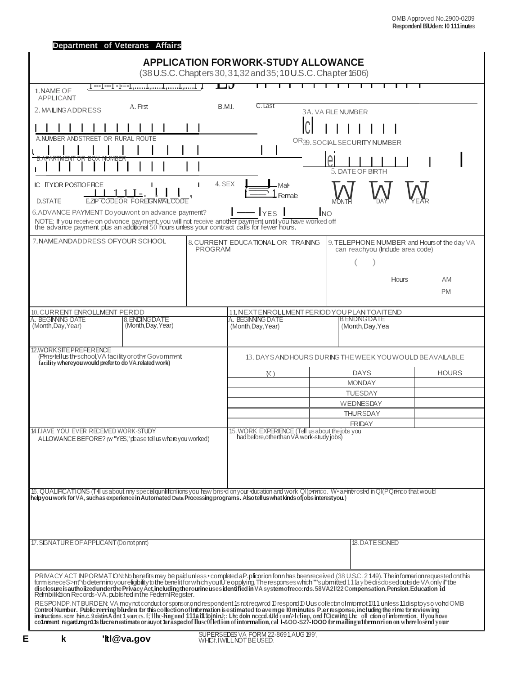|                                                                                                                 | Department of Veterans Affairs                               |                                                                                                                                                                                                        |                                                                                                                                                                                                                                                                                                                                                                                                                                                                                                                                                                   |              |
|-----------------------------------------------------------------------------------------------------------------|--------------------------------------------------------------|--------------------------------------------------------------------------------------------------------------------------------------------------------------------------------------------------------|-------------------------------------------------------------------------------------------------------------------------------------------------------------------------------------------------------------------------------------------------------------------------------------------------------------------------------------------------------------------------------------------------------------------------------------------------------------------------------------------------------------------------------------------------------------------|--------------|
|                                                                                                                 |                                                              | <b>APPLICATION FOR WORK-STUDY ALLOWANCE</b>                                                                                                                                                            |                                                                                                                                                                                                                                                                                                                                                                                                                                                                                                                                                                   |              |
|                                                                                                                 |                                                              | (38 U.S.C. Chapters 30, 31, 32 and 35; 10 U.S.C. Chapter 1606)                                                                                                                                         |                                                                                                                                                                                                                                                                                                                                                                                                                                                                                                                                                                   |              |
| 1.NAME OF                                                                                                       | 1 ---- 1--- 1 - 1 =- 1., 1., 1., 1., 1                       | பச                                                                                                                                                                                                     |                                                                                                                                                                                                                                                                                                                                                                                                                                                                                                                                                                   |              |
| <b>APPLICANT</b><br>2. MAILING ADDRESS                                                                          | A. First                                                     | B.M.I.<br>C. Last                                                                                                                                                                                      | <b>3A. VA FILE NUMBER</b>                                                                                                                                                                                                                                                                                                                                                                                                                                                                                                                                         |              |
|                                                                                                                 |                                                              |                                                                                                                                                                                                        | ∩                                                                                                                                                                                                                                                                                                                                                                                                                                                                                                                                                                 |              |
| A.NUMBER ANDSTREET                                                                                              | OR RURAL ROUTE                                               |                                                                                                                                                                                                        | OR39.SOCIALSECURITYNUMBER                                                                                                                                                                                                                                                                                                                                                                                                                                                                                                                                         |              |
|                                                                                                                 |                                                              |                                                                                                                                                                                                        | $\mathsf{A}$                                                                                                                                                                                                                                                                                                                                                                                                                                                                                                                                                      |              |
|                                                                                                                 |                                                              |                                                                                                                                                                                                        | 5. DATE OF BIRTH                                                                                                                                                                                                                                                                                                                                                                                                                                                                                                                                                  |              |
| IC ITYDR POSTIOFFICE                                                                                            |                                                              | 4. SEX<br>Mal                                                                                                                                                                                          |                                                                                                                                                                                                                                                                                                                                                                                                                                                                                                                                                                   |              |
| <b>D.STATE</b>                                                                                                  | <b>E.ZIP CODEOR FOREIGNMALCODE</b>                           | <del>T</del> emale                                                                                                                                                                                     |                                                                                                                                                                                                                                                                                                                                                                                                                                                                                                                                                                   |              |
|                                                                                                                 | 6. ADVANCE PAYMENT Do youwont on advance payment?            | <b>YES</b>                                                                                                                                                                                             | <b>NO</b>                                                                                                                                                                                                                                                                                                                                                                                                                                                                                                                                                         |              |
|                                                                                                                 |                                                              | NOTE: If you receive on odvonce payment, you will not receive another payment until you have worked off<br>the advance payment plus an additional 50 hours unless your contract calls for fewer hours. |                                                                                                                                                                                                                                                                                                                                                                                                                                                                                                                                                                   |              |
| 7. NAME ANDADDRESS OFYOUR SCHOOL                                                                                |                                                              | 8. CURRENT EDUCATIONAL OR TRAINING<br><b>PROGRAM</b>                                                                                                                                                   | 9. TELEPHONE NUMBER and Hours of the day VA<br>can reachyou (Indude area code)                                                                                                                                                                                                                                                                                                                                                                                                                                                                                    |              |
|                                                                                                                 |                                                              |                                                                                                                                                                                                        |                                                                                                                                                                                                                                                                                                                                                                                                                                                                                                                                                                   |              |
|                                                                                                                 |                                                              |                                                                                                                                                                                                        | Hours                                                                                                                                                                                                                                                                                                                                                                                                                                                                                                                                                             | AM           |
|                                                                                                                 |                                                              |                                                                                                                                                                                                        |                                                                                                                                                                                                                                                                                                                                                                                                                                                                                                                                                                   | <b>PM</b>    |
|                                                                                                                 |                                                              |                                                                                                                                                                                                        |                                                                                                                                                                                                                                                                                                                                                                                                                                                                                                                                                                   |              |
| 10. CURRENT ENROLLMENT PER OD<br>A. BEGINNIG DATE                                                               | 8. ENDINGDATE                                                | A. BEGINNING DATE                                                                                                                                                                                      | 11. NEXTENROLLMENT PERIODYOU PLANTOAITEND<br><b>B. ENDING DATE</b>                                                                                                                                                                                                                                                                                                                                                                                                                                                                                                |              |
| (Month, Day, Year)                                                                                              | (Month, Day, Year)                                           | (Month, Day, Year)                                                                                                                                                                                     | (Month, Day, Yea                                                                                                                                                                                                                                                                                                                                                                                                                                                                                                                                                  |              |
| 12.WORKSITEPREFERENCE                                                                                           |                                                              |                                                                                                                                                                                                        |                                                                                                                                                                                                                                                                                                                                                                                                                                                                                                                                                                   |              |
| (Phns•tellus th•school, VA facility or oth•r Govomm•nt<br>facility whereyou would prefer to do VA.related work) |                                                              |                                                                                                                                                                                                        | 13. DAYS AND HOURS DURING THE WEEK YOU WOULD BE AVAILABLE                                                                                                                                                                                                                                                                                                                                                                                                                                                                                                         |              |
|                                                                                                                 |                                                              | $K$ )                                                                                                                                                                                                  | <b>DAYS</b>                                                                                                                                                                                                                                                                                                                                                                                                                                                                                                                                                       | <b>HOURS</b> |
|                                                                                                                 |                                                              |                                                                                                                                                                                                        | <b>MONDAY</b><br><b>TUESDAY</b>                                                                                                                                                                                                                                                                                                                                                                                                                                                                                                                                   |              |
|                                                                                                                 |                                                              |                                                                                                                                                                                                        | <b>WEDNESDAY</b>                                                                                                                                                                                                                                                                                                                                                                                                                                                                                                                                                  |              |
|                                                                                                                 |                                                              |                                                                                                                                                                                                        | <b>THURSDAY</b>                                                                                                                                                                                                                                                                                                                                                                                                                                                                                                                                                   |              |
| 14.f.IAVE YOU EVER RECEIVED WORK-STUDY                                                                          |                                                              | 15. WORK EXPERIENCE (Tell us about the jobs you                                                                                                                                                        | <b>FRIDAY</b>                                                                                                                                                                                                                                                                                                                                                                                                                                                                                                                                                     |              |
|                                                                                                                 | ALLOWANCE BEFORE? (w "YES," please tell us where you worked) | had before, otherthan VA work-study jobs)                                                                                                                                                              |                                                                                                                                                                                                                                                                                                                                                                                                                                                                                                                                                                   |              |
|                                                                                                                 |                                                              |                                                                                                                                                                                                        |                                                                                                                                                                                                                                                                                                                                                                                                                                                                                                                                                                   |              |
|                                                                                                                 |                                                              |                                                                                                                                                                                                        |                                                                                                                                                                                                                                                                                                                                                                                                                                                                                                                                                                   |              |
|                                                                                                                 |                                                              |                                                                                                                                                                                                        |                                                                                                                                                                                                                                                                                                                                                                                                                                                                                                                                                                   |              |
|                                                                                                                 |                                                              | helpyou work for VA, such as experience in Automated Data Processing programs. Also tell us what kinds of jobs interestyou.)                                                                           | 16. QUALIFICATIONS (TII usabout nny special qualifications you haw based on your education and work Ql(prenco. We armerosted in Ql(PQrinco that would                                                                                                                                                                                                                                                                                                                                                                                                             |              |
|                                                                                                                 |                                                              |                                                                                                                                                                                                        |                                                                                                                                                                                                                                                                                                                                                                                                                                                                                                                                                                   |              |
|                                                                                                                 |                                                              |                                                                                                                                                                                                        |                                                                                                                                                                                                                                                                                                                                                                                                                                                                                                                                                                   |              |
| 17. SIGNATURE OF APPLICANT (Do not pnnt)                                                                        |                                                              |                                                                                                                                                                                                        | 18. DATE SIGNED                                                                                                                                                                                                                                                                                                                                                                                                                                                                                                                                                   |              |
|                                                                                                                 |                                                              |                                                                                                                                                                                                        |                                                                                                                                                                                                                                                                                                                                                                                                                                                                                                                                                                   |              |
|                                                                                                                 |                                                              |                                                                                                                                                                                                        |                                                                                                                                                                                                                                                                                                                                                                                                                                                                                                                                                                   |              |
|                                                                                                                 |                                                              |                                                                                                                                                                                                        | PRIVACY ACT INPORMATION: No benefits may be paid unless · completed aP. plicorion fonn has been received (38 U.S.C. 2149). The informarion requested onthis<br>form isnece S>nt'Yb deternino your eligibility to the benelit for which youtU'e opplying. The responses which""submitted 11 lay be discbsed outside VA only il"tbe<br>disclosure isautholized under the Privacy Act, including the rourine uses identified in VA system ofrecorrds. 58VA21/22 Compensation. Pension. Education 1d<br>Rernbilikition Records-VA. published in the Federni Register. |              |
|                                                                                                                 |                                                              |                                                                                                                                                                                                        | RESPONDP.NTBURDEN: VA moy not conductor sponsor ond respondent 1s not reqwrcd 10 respond 10 Uus collect nol mtomot 1011 unless 11 disptoyso vond OMB<br>Control Number, Public rerring bluden for this collection of information                                                                                                                                                                                                                                                                                                                                  |              |
|                                                                                                                 |                                                              |                                                                                                                                                                                                        | instructions.scnr hin.c.9xistinAdnt1souccs.f; Ilhc-Ing nnd 111aiff fojninJ;: Lhc doln ncccd.iUld com>lclinp, ond IC(cwing Lhc oll ction of information. If you hove co1rment regard.mg m is there nestimate or auyot teraspect                                                                                                                                                                                                                                                                                                                                    |              |
| k                                                                                                               | 'ltl@va.gov                                                  | SUPERSEDES VA FORM 22-8691, AUG 199',<br>WHICf.IWILLNOTBE USED.                                                                                                                                        |                                                                                                                                                                                                                                                                                                                                                                                                                                                                                                                                                                   |              |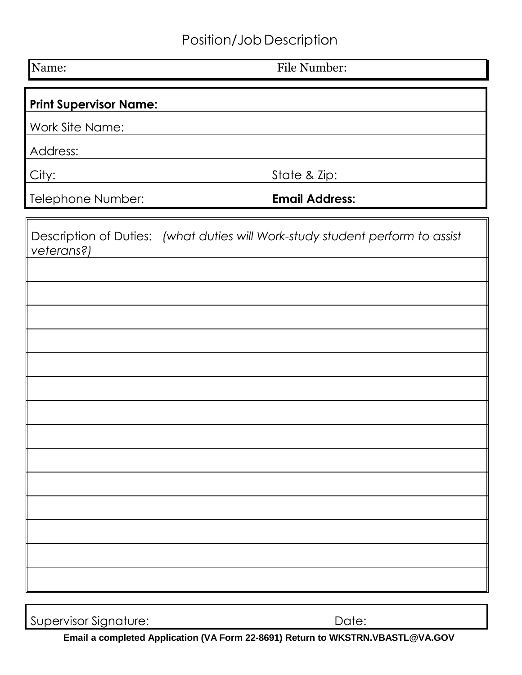# Position/Job Description

Name: File Number:

# **Print Supervisor Name:**

Work Site Name:

Address:

City: State & Zip:

Telephone Number: **Email Address:**

| veterans?) | Description of Duties: (what duties will Work-study student perform to assist |
|------------|-------------------------------------------------------------------------------|
|            |                                                                               |
|            |                                                                               |
|            |                                                                               |
|            |                                                                               |
|            |                                                                               |
|            |                                                                               |
|            |                                                                               |
|            |                                                                               |
|            |                                                                               |
|            |                                                                               |
|            |                                                                               |
|            |                                                                               |
|            |                                                                               |
|            |                                                                               |

Supervisor Signature: Date:

**Email a completed Application (VA Form 22-8691) Return [to WKSTRN.VBASTL@VA.GOV](mailto:WKSTRN.VBASTL@VA.GOV)**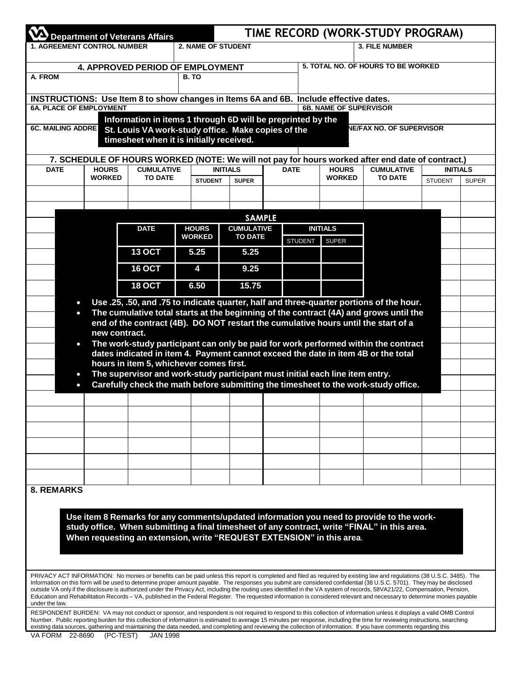| TIME RECORD (WORK-STUDY PROGRAM)<br><b>Department of Veterans Affairs</b> |                               |                                                                                                                                                                                                                                                                                                                                                                                                                                                                                                                                   |                               |                                     |  |                |                                    |                                     |                 |              |
|---------------------------------------------------------------------------|-------------------------------|-----------------------------------------------------------------------------------------------------------------------------------------------------------------------------------------------------------------------------------------------------------------------------------------------------------------------------------------------------------------------------------------------------------------------------------------------------------------------------------------------------------------------------------|-------------------------------|-------------------------------------|--|----------------|------------------------------------|-------------------------------------|-----------------|--------------|
| <b>1. AGREEMENT CONTROL NUMBER</b>                                        |                               |                                                                                                                                                                                                                                                                                                                                                                                                                                                                                                                                   | <b>2. NAME OF STUDENT</b>     |                                     |  |                |                                    | <b>3. FILE NUMBER</b>               |                 |              |
| 4. APPROVED PERIOD OF EMPLOYMENT                                          |                               |                                                                                                                                                                                                                                                                                                                                                                                                                                                                                                                                   |                               |                                     |  |                | 5. TOTAL NO. OF HOURS TO BE WORKED |                                     |                 |              |
| A. FROM                                                                   |                               |                                                                                                                                                                                                                                                                                                                                                                                                                                                                                                                                   | B. TO                         |                                     |  |                |                                    |                                     |                 |              |
|                                                                           |                               | INSTRUCTIONS: Use Item 8 to show changes in Items 6A and 6B. Include effective dates.                                                                                                                                                                                                                                                                                                                                                                                                                                             |                               |                                     |  |                |                                    |                                     |                 |              |
| <b>6A. PLACE OF EMPLOYMENT</b>                                            |                               | Information in items 1 through 6D will be preprinted by the                                                                                                                                                                                                                                                                                                                                                                                                                                                                       |                               |                                     |  |                | <b>6B. NAME OF SUPERVISOR</b>      |                                     |                 |              |
| <b>6C. MAILING ADDRE</b>                                                  |                               | St. Louis VA work-study office. Make copies of the<br>timesheet when it is initially received.                                                                                                                                                                                                                                                                                                                                                                                                                                    |                               |                                     |  |                |                                    | <b>NE/FAX NO. OF SUPERVISOR</b>     |                 |              |
|                                                                           |                               | 7. SCHEDULE OF HOURS WORKED (NOTE: We will not pay for hours worked after end date of contract.)                                                                                                                                                                                                                                                                                                                                                                                                                                  |                               |                                     |  |                |                                    |                                     |                 |              |
| <b>DATE</b>                                                               | <b>HOURS</b><br><b>WORKED</b> | <b>CUMULATIVE</b><br><b>TO DATE</b>                                                                                                                                                                                                                                                                                                                                                                                                                                                                                               |                               | <b>INITIALS</b><br><b>DATE</b>      |  |                | <b>HOURS</b><br><b>WORKED</b>      | <b>CUMULATIVE</b><br><b>TO DATE</b> | <b>INITIALS</b> |              |
|                                                                           |                               |                                                                                                                                                                                                                                                                                                                                                                                                                                                                                                                                   | <b>STUDENT</b>                | <b>SUPER</b>                        |  |                |                                    |                                     | <b>STUDENT</b>  | <b>SUPER</b> |
|                                                                           |                               |                                                                                                                                                                                                                                                                                                                                                                                                                                                                                                                                   |                               |                                     |  |                |                                    |                                     |                 |              |
|                                                                           |                               |                                                                                                                                                                                                                                                                                                                                                                                                                                                                                                                                   |                               | <b>SAMPLE</b>                       |  |                |                                    |                                     |                 |              |
|                                                                           |                               | <b>DATE</b>                                                                                                                                                                                                                                                                                                                                                                                                                                                                                                                       | <b>HOURS</b><br><b>WORKED</b> | <b>CUMULATIVE</b><br><b>TO DATE</b> |  |                | <b>INITIALS</b>                    |                                     |                 |              |
|                                                                           |                               | <b>13 OCT</b>                                                                                                                                                                                                                                                                                                                                                                                                                                                                                                                     | 5.25                          | 5.25                                |  | <b>STUDENT</b> | <b>SUPER</b>                       |                                     |                 |              |
|                                                                           |                               | <b>16 OCT</b>                                                                                                                                                                                                                                                                                                                                                                                                                                                                                                                     | 4                             | 9.25                                |  |                |                                    |                                     |                 |              |
|                                                                           |                               | <b>18 OCT</b>                                                                                                                                                                                                                                                                                                                                                                                                                                                                                                                     | 6.50                          | 15.75                               |  |                |                                    |                                     |                 |              |
|                                                                           |                               |                                                                                                                                                                                                                                                                                                                                                                                                                                                                                                                                   |                               |                                     |  |                |                                    |                                     |                 |              |
| $\bullet$<br>$\bullet$                                                    |                               | Use .25, .50, and .75 to indicate quarter, half and three-quarter portions of the hour.<br>The cumulative total starts at the beginning of the contract (4A) and grows until the                                                                                                                                                                                                                                                                                                                                                  |                               |                                     |  |                |                                    |                                     |                 |              |
|                                                                           |                               | end of the contract (4B). DO NOT restart the cumulative hours until the start of a                                                                                                                                                                                                                                                                                                                                                                                                                                                |                               |                                     |  |                |                                    |                                     |                 |              |
|                                                                           | new contract.                 |                                                                                                                                                                                                                                                                                                                                                                                                                                                                                                                                   |                               |                                     |  |                |                                    |                                     |                 |              |
| $\bullet$                                                                 |                               | The work-study participant can only be paid for work performed within the contract<br>dates indicated in item 4. Payment cannot exceed the date in item 4B or the total                                                                                                                                                                                                                                                                                                                                                           |                               |                                     |  |                |                                    |                                     |                 |              |
|                                                                           |                               | hours in item 5, whichever comes first.                                                                                                                                                                                                                                                                                                                                                                                                                                                                                           |                               |                                     |  |                |                                    |                                     |                 |              |
| $\bullet$<br>$\bullet$                                                    |                               | The supervisor and work-study participant must initial each line item entry.<br>Carefully check the math before submitting the timesheet to the work-study office.                                                                                                                                                                                                                                                                                                                                                                |                               |                                     |  |                |                                    |                                     |                 |              |
|                                                                           |                               |                                                                                                                                                                                                                                                                                                                                                                                                                                                                                                                                   |                               |                                     |  |                |                                    |                                     |                 |              |
|                                                                           |                               |                                                                                                                                                                                                                                                                                                                                                                                                                                                                                                                                   |                               |                                     |  |                |                                    |                                     |                 |              |
|                                                                           |                               |                                                                                                                                                                                                                                                                                                                                                                                                                                                                                                                                   |                               |                                     |  |                |                                    |                                     |                 |              |
|                                                                           |                               |                                                                                                                                                                                                                                                                                                                                                                                                                                                                                                                                   |                               |                                     |  |                |                                    |                                     |                 |              |
|                                                                           |                               |                                                                                                                                                                                                                                                                                                                                                                                                                                                                                                                                   |                               |                                     |  |                |                                    |                                     |                 |              |
|                                                                           |                               |                                                                                                                                                                                                                                                                                                                                                                                                                                                                                                                                   |                               |                                     |  |                |                                    |                                     |                 |              |
| <b>8. REMARKS</b>                                                         |                               |                                                                                                                                                                                                                                                                                                                                                                                                                                                                                                                                   |                               |                                     |  |                |                                    |                                     |                 |              |
|                                                                           |                               |                                                                                                                                                                                                                                                                                                                                                                                                                                                                                                                                   |                               |                                     |  |                |                                    |                                     |                 |              |
|                                                                           |                               | Use item 8 Remarks for any comments/updated information you need to provide to the work-                                                                                                                                                                                                                                                                                                                                                                                                                                          |                               |                                     |  |                |                                    |                                     |                 |              |
|                                                                           |                               | study office. When submitting a final timesheet of any contract, write "FINAL" in this area.                                                                                                                                                                                                                                                                                                                                                                                                                                      |                               |                                     |  |                |                                    |                                     |                 |              |
|                                                                           |                               | When requesting an extension, write "REQUEST EXTENSION" in this area.                                                                                                                                                                                                                                                                                                                                                                                                                                                             |                               |                                     |  |                |                                    |                                     |                 |              |
|                                                                           |                               |                                                                                                                                                                                                                                                                                                                                                                                                                                                                                                                                   |                               |                                     |  |                |                                    |                                     |                 |              |
|                                                                           |                               | PRIVACY ACT INFORMATION: No monies or benefits can be paid unless this report is completed and filed as required by existing law and regulations (38 U.S.C. 3485). The                                                                                                                                                                                                                                                                                                                                                            |                               |                                     |  |                |                                    |                                     |                 |              |
| under the law.                                                            |                               | Information on this form will be used to determine proper amount payable. The responses you submit are considered confidential (38 U.S.C. 5701). They may be disclosed<br>outside VA only if the disclosure is authorized under the Privacy Act, including the routing uses identified in the VA system of records, 58VA21/22, Compensation, Pension,<br>Education and Rehabilitation Records - VA, published in the Federal Register. The requested information is considered relevant and necessary to determine monies payable |                               |                                     |  |                |                                    |                                     |                 |              |
|                                                                           |                               | RESPONDENT BURDEN: VA may not conduct or sponsor, and respondent is not required to respond to this collection of information unless it displays a valid OMB Control<br>Number. Public reporting burden for this collection of information is estimated to average 15 minutes per response, including the time for reviewing instructions, searching<br>existing data sources, gathering and maintaining the data needed, and completing and reviewing the collection of information. If you have comments regarding this         |                               |                                     |  |                |                                    |                                     |                 |              |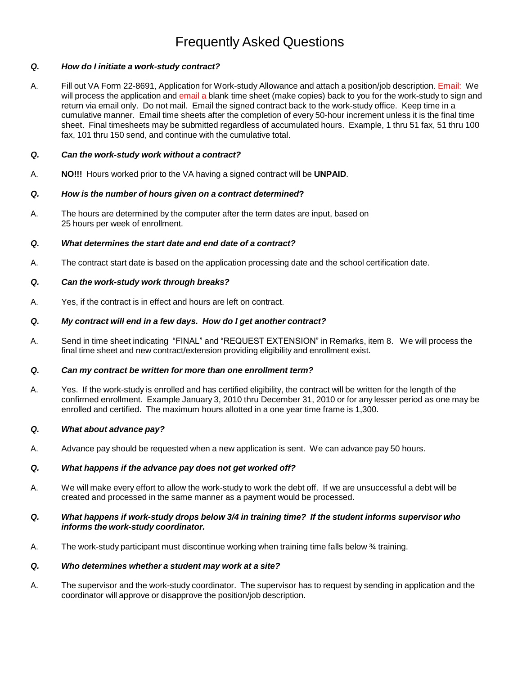# Frequently Asked Questions

#### *Q. How do I initiate a work-study contract?*

A. Fill out VA Form 22-8691, Application for Work-study Allowance and attach a position/job description. Email: We will process the application and email a blank time sheet (make copies) back to you for the work-study to sign and return via email only. Do not mail. Email the signed contract back to the work-study office. Keep time in a cumulative manner. Email time sheets after the completion of every 50-hour increment unless it is the final time sheet. Final timesheets may be submitted regardless of accumulated hours. Example, 1 thru 51 fax, 51 thru 100 fax, 101 thru 150 send, and continue with the cumulative total.

#### *Q. Can the work-study work without a contract?*

A. **NO!!!** Hours worked prior to the VA having a signed contract will be **UNPAID**.

#### *Q. How is the number of hours given on a contract determined***?**

A. The hours are determined by the computer after the term dates are input, based on 25 hours per week of enrollment.

#### *Q. What determines the start date and end date of a contract?*

A. The contract start date is based on the application processing date and the school certification date.

#### *Q. Can the work-study work through breaks?*

A. Yes, if the contract is in effect and hours are left on contract.

#### *Q. My contract will end in a few days. How do I get another contract?*

A. Send in time sheet indicating "FINAL" and "REQUEST EXTENSION" in Remarks, item 8. We will process the final time sheet and new contract/extension providing eligibility and enrollment exist.

#### *Q. Can my contract be written for more than one enrollment term?*

A. Yes. If the work-study is enrolled and has certified eligibility, the contract will be written for the length of the confirmed enrollment. Example January 3, 2010 thru December 31, 2010 or for any lesser period as one may be enrolled and certified. The maximum hours allotted in a one year time frame is 1,300.

#### *Q. What about advance pay?*

A. Advance pay should be requested when a new application is sent. We can advance pay 50 hours.

#### *Q. What happens if the advance pay does not get worked off?*

A. We will make every effort to allow the work-study to work the debt off. If we are unsuccessful a debt will be created and processed in the same manner as a payment would be processed.

#### *Q. What happens if work-study drops below 3/4 in training time? If the student informs supervisor who informs the work-study coordinator.*

A. The work-study participant must discontinue working when training time falls below ¾ training.

#### *Q. Who determines whether a student may work at a site?*

A. The supervisor and the work-study coordinator. The supervisor has to request by sending in application and the coordinator will approve or disapprove the position/job description.